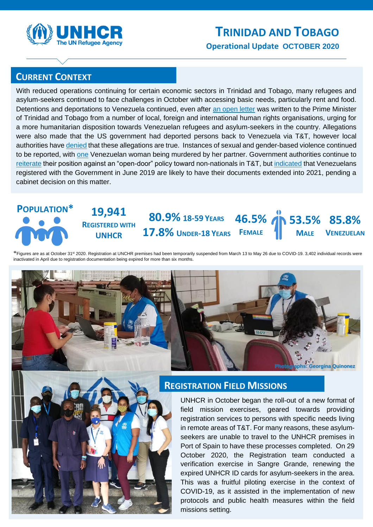

# **CURRENT CONTEXT**

With reduced operations continuing for certain economic sectors in Trinidad and Tobago, many refugees and asylum-seekers continued to face challenges in October with accessing basic needs, particularly rent and food. Detentions and deportations to Venezuela continued, even after [an open letter](https://www.refugeesinternational.org/reports/2020/10/7/trinidad-tobago-25-groups-call-for-end-to-refoulement-and-to-re-open-registration-for-venezuelans) was written to the Prime Minister of Trinidad and Tobago from a number of local, foreign and international human rights organisations, urging for a more humanitarian disposition towards Venezuelan refugees and asylum-seekers in the country. Allegations were also made that the US government had deported persons back to Venezuela via T&T, however local authorities have [denied](https://www.looptt.com/content/us-govt-deported-venezuelans-trinidad-and-tobago-says-senator) that these allegations are true. Instances of sexual and gender-based violence continued to be reported, with [one](https://www.guardian.co.tt/news/venezuelan-woman-killed-in-flagstaff-apartment-6.2.1238623.389159df6e) Venezuelan woman being murdered by her partner. Government authorities continue to [reiterate](https://www.cnc3.co.tt/pm-tt-will-not-have-open-door-policy-for-migrants/) their position against an "open-door" policy toward non-nationals in T&T, but [indicated](https://www.guardian.co.tt/news/young-cabinet-to-decide-on-future-of-venezuelans-in-tt-6.2.1237063.6c62c65eba) that Venezuelans registered with the Government in June 2019 are likely to have their documents extended into 2021, pending a cabinet decision on this matter.

#### **19,941 REGISTERED WITH UNHCR 85.8% VENEZUELAN 80.9% 18-59 YEARS 46.5% 53.5% 17.8% UNDER-18 YEARS FEMALE MALE POPULATION\***

\*Figures are as at October 31<sup>st</sup> 2020. Registration at UNCHR premises had been temporarily suspended from March 13 to May 26 due to COVID-19. 3,402 individual records were inactivated in April due to registration documentation being expired for more than six months.





## **REGISTRATION FIELD MISSIONS**

UNHCR in October began the roll-out of a new format of field mission exercises, geared towards providing registration services to persons with specific needs living in remote areas of T&T. For many reasons, these asylumseekers are unable to travel to the UNHCR premises in Port of Spain to have these processes completed. On 29 October 2020, the Registration team conducted a verification exercise in Sangre Grande, renewing the expired UNHCR ID cards for asylum-seekers in the area. This was a fruitful piloting exercise in the context of COVID-19, as it assisted in the implementation of new protocols and public health measures within the field missions setting.